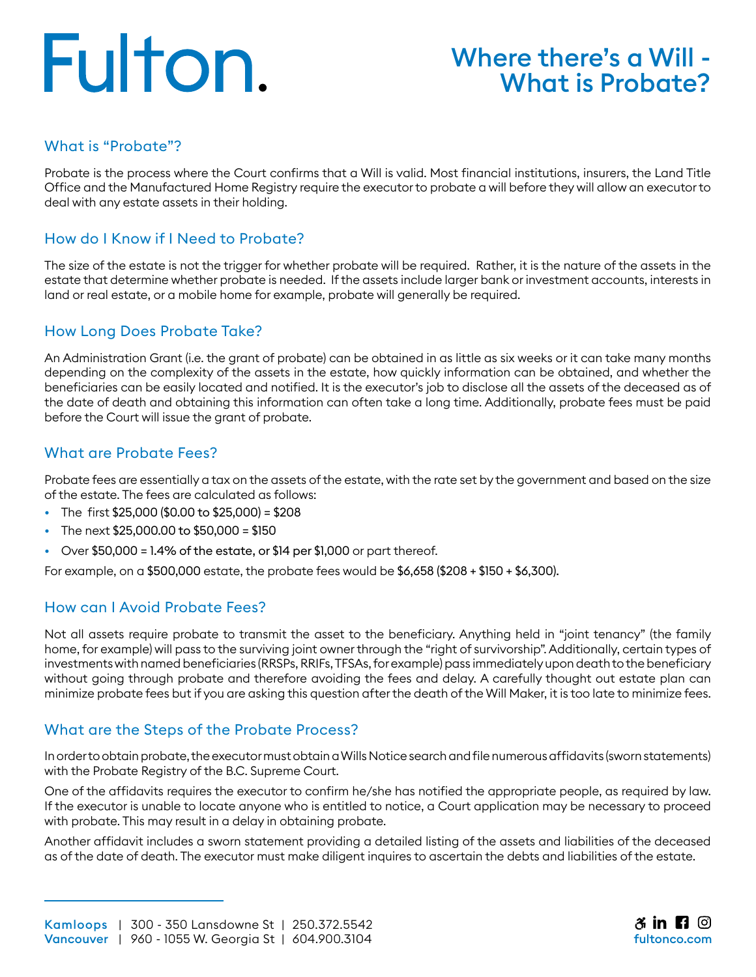# Fulton.

### Where there's a Will - What is Probate?

#### What is "Probate"?

Probate is the process where the Court confirms that a Will is valid. Most financial institutions, insurers, the Land Title Office and the Manufactured Home Registry require the executor to probate a will before they will allow an executor to deal with any estate assets in their holding.

#### How do I Know if I Need to Probate?

The size of the estate is not the trigger for whether probate will be required. Rather, it is the nature of the assets in the estate that determine whether probate is needed. If the assets include larger bank or investment accounts, interests in land or real estate, or a mobile home for example, probate will generally be required.

#### How Long Does Probate Take?

An Administration Grant (i.e. the grant of probate) can be obtained in as little as six weeks or it can take many months depending on the complexity of the assets in the estate, how quickly information can be obtained, and whether the beneficiaries can be easily located and notified. It is the executor's job to disclose all the assets of the deceased as of the date of death and obtaining this information can often take a long time. Additionally, probate fees must be paid before the Court will issue the grant of probate.

#### What are Probate Fees?

Probate fees are essentially a tax on the assets of the estate, with the rate set by the government and based on the size of the estate. The fees are calculated as follows:

- The first \$25,000 (\$0.00 to \$25,000) = \$208
- The next  $$25,000.00$  to  $$50,000 = $150$
- Over  $$50,000 = 1.4\%$  of the estate, or  $$14$  per  $$1,000$  or part thereof.

For example, on a \$500,000 estate, the probate fees would be \$6,658 (\$208 + \$150 + \$6,300).

#### How can I Avoid Probate Fees?

Not all assets require probate to transmit the asset to the beneficiary. Anything held in "joint tenancy" (the family home, for example) will pass to the surviving joint owner through the "right of survivorship". Additionally, certain types of investments with named beneficiaries (RRSPs, RRIFs, TFSAs, for example) pass immediately upon death to the beneficiary without going through probate and therefore avoiding the fees and delay. A carefully thought out estate plan can minimize probate fees but if you are asking this question after the death of the Will Maker, it is too late to minimize fees.

#### What are the Steps of the Probate Process?

In order to obtain probate, the executor must obtain a Wills Notice search and file numerous affidavits (sworn statements) with the Probate Registry of the B.C. Supreme Court.

One of the affidavits requires the executor to confirm he/she has notified the appropriate people, as required by law. If the executor is unable to locate anyone who is entitled to notice, a Court application may be necessary to proceed with probate. This may result in a delay in obtaining probate.

Another affidavit includes a sworn statement providing a detailed listing of the assets and liabilities of the deceased as of the date of death. The executor must make diligent inquires to ascertain the debts and liabilities of the estate.